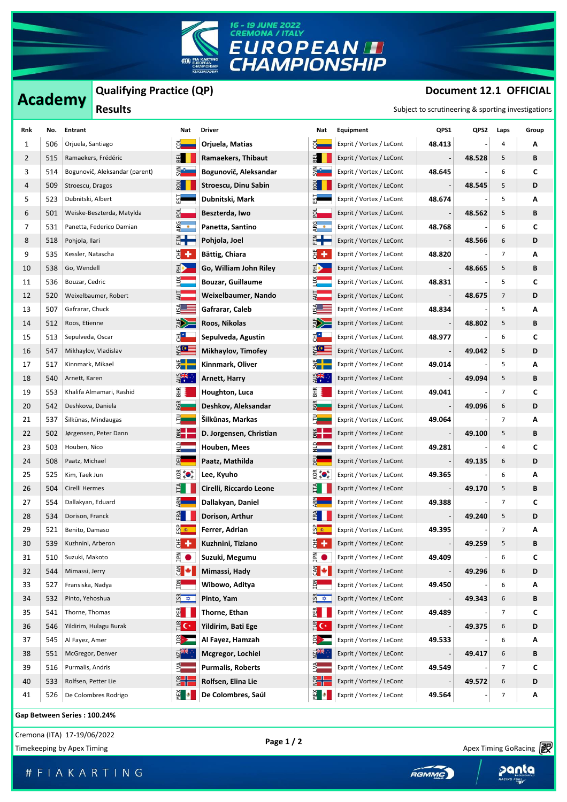

## **Academy** Qualifying Practice (QP) **Document 12.1 OFFICIAL**

| Qualifying Practice (QP)<br>Document 12.1 OFFICIAL<br><b>Academy</b><br><b>Results</b><br>Subject to scrutineering & sporting investigations |     |                     |                                |                                                        |                          |                                               |                          |        |        |      |       |
|----------------------------------------------------------------------------------------------------------------------------------------------|-----|---------------------|--------------------------------|--------------------------------------------------------|--------------------------|-----------------------------------------------|--------------------------|--------|--------|------|-------|
| Rnk                                                                                                                                          | No. | Entrant             |                                | Nat                                                    | <b>Driver</b>            | Nat                                           | Equipment                | QPS1   | QPS2   | Laps | Group |
| 1                                                                                                                                            | 506 | Orjuela, Santiago   |                                |                                                        | Orjuela, Matias          |                                               | Exprit / Vortex / LeCont | 48.413 |        | 4    | Α     |
| 2                                                                                                                                            | 515 |                     | Ramaekers, Frédéric            | $\overline{a}$                                         | Ramaekers, Thibaut       | $E =$                                         | Exprit / Vortex / LeCont |        | 48.528 | 5    | В     |
| 3                                                                                                                                            | 514 |                     | Bogunovič, Aleksandar (parent) | ana<br>Sina                                            | Bogunovič, Aleksandar    | ⋚ <mark>ैं</mark>                             | Exprit / Vortex / LeCont | 48.645 |        | 6    | C     |
| 4                                                                                                                                            | 509 | Stroescu, Dragos    |                                | $rac{1}{2}$                                            | Stroescu, Dinu Sabin     | $rac{1}{2}$                                   | Exprit / Vortex / LeCont |        | 48.545 | 5    | D     |
| 5                                                                                                                                            | 523 | Dubnitski, Albert   |                                | ួ                                                      | Dubnitski, Mark          | ត្ត                                           | Exprit / Vortex / LeCont | 48.674 |        | 5    | Α     |
| 6                                                                                                                                            | 501 |                     | Weiske-Beszterda, Matylda      | 합                                                      | Beszterda, Iwo           | 안                                             | Exprit / Vortex / LeCont |        | 48.562 | 5    | В     |
| 7                                                                                                                                            | 531 |                     | Panetta, Federico Damian       | ARG<br>•                                               | Panetta, Santino         | ARG<br>•                                      | Exprit / Vortex / LeCont | 48.768 |        | 6    | C     |
| 8                                                                                                                                            | 518 | Pohjola, Ilari      |                                | ă <b>let</b>                                           | Pohjola, Joel            | ▓╋                                            | Exprit / Vortex / LeCont |        | 48.566 | 6    | D     |
| 9                                                                                                                                            | 535 | Kessler, Natascha   |                                | ₩,                                                     | Bättig, Chiara           | ₩,                                            | Exprit / Vortex / LeCont | 48.820 |        | 7    | Α     |
| 10                                                                                                                                           | 538 | Go, Wendell         |                                | R)                                                     | Go, William John Riley   | RD -                                          | Exprit / Vortex / LeCont |        | 48.665 | 5    | В     |
| 11                                                                                                                                           | 536 | Bouzar, Cedric      |                                | $\frac{3}{2}$                                          | <b>Bouzar, Guillaume</b> | ă.                                            | Exprit / Vortex / LeCont | 48.831 |        | 5    | C     |
| 12                                                                                                                                           | 520 |                     | Weixelbaumer, Robert           | Ş.                                                     | Weixelbaumer, Nando      |                                               | Exprit / Vortex / LeCont |        | 48.675 | 7    | D     |
| 13                                                                                                                                           | 507 | Gafrarar, Chuck     |                                | $S_A$                                                  | Gafrarar, Caleb          | $S_A$                                         | Exprit / Vortex / LeCont | 48.834 |        | 5    | Α     |
| 14                                                                                                                                           | 512 | Roos, Etienne       |                                | <b>ASSES</b>                                           | Roos, Nikolas            | N                                             | Exprit / Vortex / LeCont |        | 48.802 | 5    | В     |
| 15                                                                                                                                           | 513 | Sepulveda, Oscar    |                                | ह <mark>ं*</mark>                                      | Sepulveda, Agustin       | $\vec{z}^*$                                   | Exprit / Vortex / LeCont | 48.977 |        | 6    | C     |
| 16                                                                                                                                           | 547 |                     | Mikhaylov, Vladislav           | ४ूल≣                                                   | Mikhaylov, Timofey       | $\Sigma$                                      | Exprit / Vortex / LeCont |        | 49.042 | 5    | D     |
| 17                                                                                                                                           | 517 | Kinnmark, Mikael    |                                | <b>E</b><br>S                                          | Kinnmark, Oliver         | $rac{1}{2}$                                   | Exprit / Vortex / LeCont | 49.014 |        | 5    | Α     |
| 18                                                                                                                                           | 540 | Arnett, Karen       |                                | $\frac{1}{2}$                                          | <b>Arnett, Harry</b>     | $\frac{1}{2}$                                 | Exprit / Vortex / LeCont |        | 49.094 | 5    | В     |
| 19                                                                                                                                           | 553 |                     | Khalifa Almamari, Rashid       | ВHR                                                    | Houghton, Luca           | BНК                                           | Exprit / Vortex / LeCont | 49.041 |        | 7    | C     |
| 20                                                                                                                                           | 542 | Deshkova, Daniela   |                                | BGR                                                    | Deshkov, Aleksandar      | <b>BGR</b>                                    | Exprit / Vortex / LeCont |        | 49.096 | 6    | D     |
| 21                                                                                                                                           | 537 |                     | Silkūnas, Mindaugas            | E,                                                     | Šilkūnas, Markas         | E.                                            | Exprit / Vortex / LeCont | 49.064 |        | 7    | Α     |
| 22                                                                                                                                           | 502 |                     | Jørgensen, Peter Dann          | $\frac{1}{2}$                                          | D. Jorgensen, Christian  | $\frac{1}{2}$                                 | Exprit / Vortex / LeCont |        | 49.100 | 5    | В     |
| 23                                                                                                                                           | 503 | Houben, Nico        |                                | $\frac{1}{2}$                                          | Houben, Mees             | $\frac{1}{2}$                                 | Exprit / Vortex / LeCont | 49.281 |        | 4    | C     |
| 24                                                                                                                                           | 508 | Paatz, Michael      |                                | 뎳                                                      | Paatz, Mathilda          | 맓                                             | Exprit / Vortex / LeCont |        | 49.135 | 6    | D     |
| 25                                                                                                                                           | 525 | Kim, Taek Jun       |                                | $\widetilde{\Theta}$ (or $\widetilde{\Theta}$          | Lee, Kyuho               | $\widetilde{\Theta}$ (or $\widetilde{\Theta}$ | Exprit / Vortex / LeCont | 49.365 |        | 6    | Α     |
| 26                                                                                                                                           | 504 | Cirelli Hermes      |                                | $\overline{H}$                                         | Cirelli, Riccardo Leone  | $\overline{11}$                               | Exprit / Vortex / LeCont |        | 49.170 | 5    | В     |
| 27                                                                                                                                           | 554 | Dallakyan, Eduard   |                                |                                                        | Dallakyan, Daniel        | ARN<br>F                                      | Exprit / Vortex / LeCont | 49.388 |        | 7    | C     |
| 28                                                                                                                                           |     | 534 Dorison, Franck |                                | $\begin{array}{c} 1 \ \hline 1 \ \hline 0 \end{array}$ | Dorison, Arthur          | ERA <b>TENDENT</b>                            | Exprit / Vortex / LeCont |        | 49.240 | 5    | D     |
| 29                                                                                                                                           | 521 | Benito, Damaso      |                                | <u>ထို</u><br>မြ                                       | Ferrer, Adrian           | <u>ထို ∗ေ</u>                                 | Exprit / Vortex / LeCont | 49.395 |        | 7    | A     |
| 30                                                                                                                                           | 539 | Kuzhnini, Arberon   |                                | ₩,                                                     | Kuzhnini, Tiziano        | 쁑 ᆃ                                           | Exprit / Vortex / LeCont |        | 49.259 | 5    | В     |
| 31                                                                                                                                           | 510 | Suzuki, Makoto      |                                | $\sum_{n=1}^{\infty}$<br>$\bullet$                     | Suzuki, Megumu           | $\sum_{n=1}^{\infty}$                         | Exprit / Vortex / LeCont | 49.409 |        | 6    | c     |
| 32                                                                                                                                           | 544 | Mimassi, Jerry      |                                | $\epsilon$                                             | Mimassi, Hady            | $rac{1}{2}$                                   | Exprit / Vortex / LeCont |        | 49.296 | 6    | D     |
| 33                                                                                                                                           | 527 | Fransiska, Nadya    |                                | Ę.                                                     | Wibowo, Aditya           | Ę.                                            | Exprit / Vortex / LeCont | 49.450 |        | 6    | A     |
| 34                                                                                                                                           | 532 | Pinto, Yehoshua     |                                | $rac{2}{5}$                                            | Pinto, Yam               | $\frac{5}{2}$                                 | Exprit / Vortex / LeCont |        | 49.343 | 6    | В     |
| 35                                                                                                                                           | 541 | Thorne, Thomas      |                                | $\frac{25}{2}$ $\frac{1}{2}$                           | Thorne, Ethan            | $E$ $\blacksquare$                            | Exprit / Vortex / LeCont | 49.489 |        | 7    | C     |
| 36                                                                                                                                           | 546 |                     | Yildirim, Hulagu Burak         | $\mathbf{E}$ C*                                        | Yildirim, Bati Ege       | $\mathbf{E} \in \mathbb{C}$                   | Exprit / Vortex / LeCont |        | 49.375 | 6    | D     |
| 37                                                                                                                                           | 545 | Al Fayez, Amer      |                                | $\frac{1}{2}$                                          | Al Fayez, Hamzah         | $\frac{1}{2}$                                 | Exprit / Vortex / LeCont | 49.533 |        | 6    | А     |
| 38                                                                                                                                           | 551 | McGregor, Denver    |                                | <u>다. 꽃</u>                                            | Mcgregor, Lochiel        | ष्ट्रे <del>*</del>                           | Exprit / Vortex / LeCont |        | 49.417 | 6    | В     |
| 39                                                                                                                                           | 516 | Purmalis, Andris    |                                | ₹                                                      | <b>Purmalis, Roberts</b> | ₹                                             | Exprit / Vortex / LeCont | 49.549 |        | 7    | c     |
| 40                                                                                                                                           | 533 | Rolfsen, Petter Lie |                                | $rac{\epsilon}{2}$                                     | Rolfsen, Elina Lie       | $\frac{1}{2}$                                 | Exprit / Vortex / LeCont |        | 49.572 | 6    | D     |
| 41                                                                                                                                           | 526 |                     | De Colombres Rodrigo           | $\frac{1}{2}$ .                                        | De Colombres, Saúl       | ĝD.                                           | Exprit / Vortex / LeCont | 49.564 |        | 7    | Α     |

**Gap Between Series : 100.24%**

Cremona (ITA) 17-19/06/2022 **Page 1 / 2**

Timekeeping by Apex Timing Cornelius and Timekeeping by Apex Timing GoRacing **Post Cornelius Apex Timing GoRacing** 

Apex Timing - drive your success https://www.apex-timing.com/